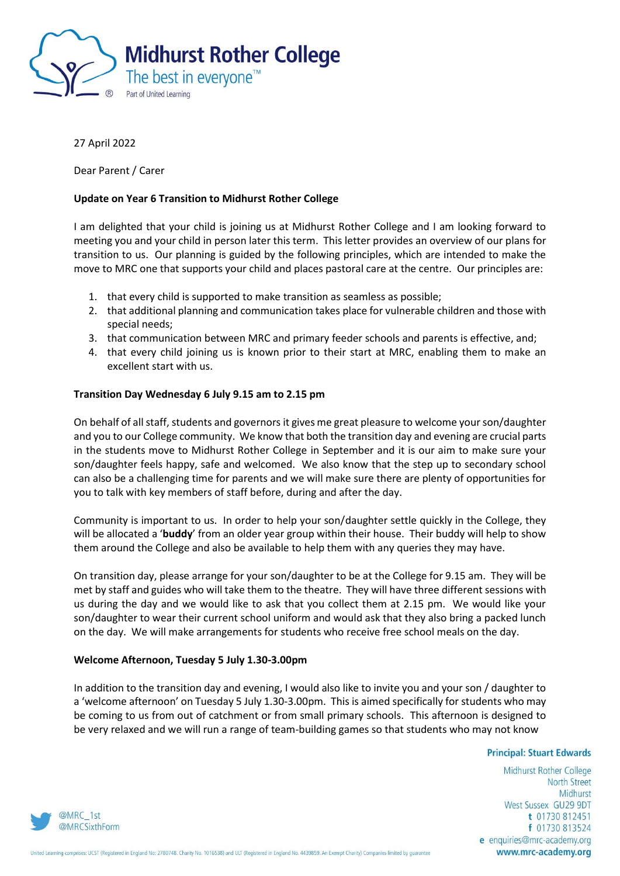

### 27 April 2022

Dear Parent / Carer

### **Update on Year 6 Transition to Midhurst Rother College**

I am delighted that your child is joining us at Midhurst Rother College and I am looking forward to meeting you and your child in person later this term. This letter provides an overview of our plans for transition to us. Our planning is guided by the following principles, which are intended to make the move to MRC one that supports your child and places pastoral care at the centre. Our principles are:

- 1. that every child is supported to make transition as seamless as possible;
- 2. that additional planning and communication takes place for vulnerable children and those with special needs;
- 3. that communication between MRC and primary feeder schools and parents is effective, and;
- 4. that every child joining us is known prior to their start at MRC, enabling them to make an excellent start with us.

### **Transition Day Wednesday 6 July 9.15 am to 2.15 pm**

On behalf of all staff, students and governors it gives me great pleasure to welcome your son/daughter and you to our College community. We know that both the transition day and evening are crucial parts in the students move to Midhurst Rother College in September and it is our aim to make sure your son/daughter feels happy, safe and welcomed. We also know that the step up to secondary school can also be a challenging time for parents and we will make sure there are plenty of opportunities for you to talk with key members of staff before, during and after the day.

Community is important to us. In order to help your son/daughter settle quickly in the College, they will be allocated a '**buddy**' from an older year group within their house. Their buddy will help to show them around the College and also be available to help them with any queries they may have.

On transition day, please arrange for your son/daughter to be at the College for 9.15 am. They will be met by staff and guides who will take them to the theatre. They will have three different sessions with us during the day and we would like to ask that you collect them at 2.15 pm. We would like your son/daughter to wear their current school uniform and would ask that they also bring a packed lunch on the day. We will make arrangements for students who receive free school meals on the day.

### **Welcome Afternoon, Tuesday 5 July 1.30-3.00pm**

In addition to the transition day and evening, I would also like to invite you and your son / daughter to a 'welcome afternoon' on Tuesday 5 July 1.30-3.00pm. This is aimed specifically for students who may be coming to us from out of catchment or from small primary schools. This afternoon is designed to be very relaxed and we will run a range of team-building games so that students who may not know

#### **Principal: Stuart Edwards**

Midhurst Rother College **North Street** Midhurst West Sussex GU29 9DT t 01730 812451 f 01730 813524 e enquiries@mrc-academy.org www.mrc-academy.org

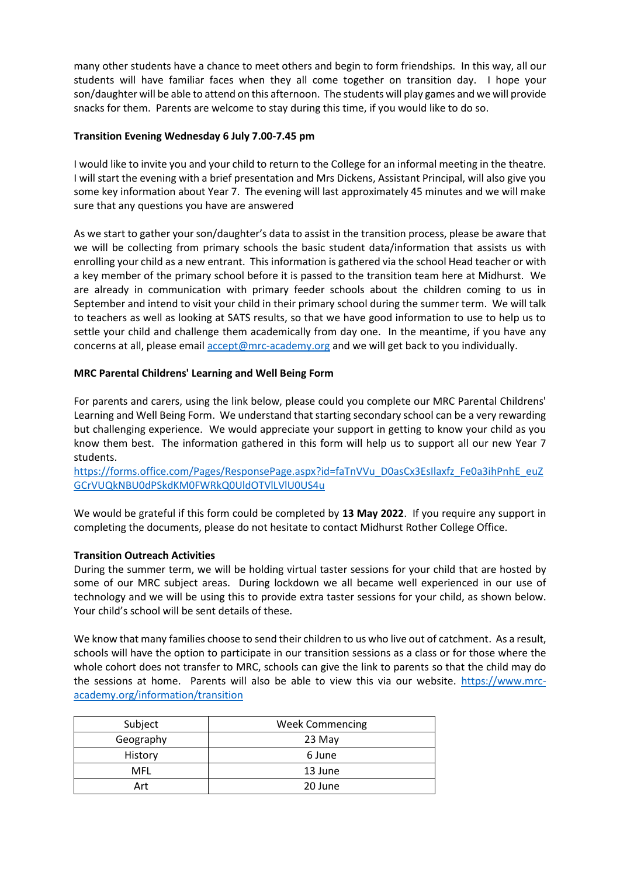many other students have a chance to meet others and begin to form friendships. In this way, all our students will have familiar faces when they all come together on transition day. I hope your son/daughter will be able to attend on this afternoon. The students will play games and we will provide snacks for them. Parents are welcome to stay during this time, if you would like to do so.

## **Transition Evening Wednesday 6 July 7.00-7.45 pm**

I would like to invite you and your child to return to the College for an informal meeting in the theatre. I will start the evening with a brief presentation and Mrs Dickens, Assistant Principal, will also give you some key information about Year 7. The evening will last approximately 45 minutes and we will make sure that any questions you have are answered

As we start to gather your son/daughter's data to assist in the transition process, please be aware that we will be collecting from primary schools the basic student data/information that assists us with enrolling your child as a new entrant. This information is gathered via the school Head teacher or with a key member of the primary school before it is passed to the transition team here at Midhurst. We are already in communication with primary feeder schools about the children coming to us in September and intend to visit your child in their primary school during the summer term. We will talk to teachers as well as looking at SATS results, so that we have good information to use to help us to settle your child and challenge them academically from day one. In the meantime, if you have any concerns at all, please email **accept@mrc-academy.org** and we will get back to you individually.

# **MRC Parental Childrens' Learning and Well Being Form**

For parents and carers, using the link below, please could you complete our MRC Parental Childrens' Learning and Well Being Form. We understand that starting secondary school can be a very rewarding but challenging experience. We would appreciate your support in getting to know your child as you know them best. The information gathered in this form will help us to support all our new Year 7 students.

[https://forms.office.com/Pages/ResponsePage.aspx?id=faTnVVu\\_D0asCx3EsIlaxfz\\_Fe0a3ihPnhE\\_euZ](https://forms.office.com/Pages/ResponsePage.aspx?id=faTnVVu_D0asCx3EsIlaxfz_Fe0a3ihPnhE_euZGCrVUQkNBU0dPSkdKM0FWRkQ0UldOTVlLVlU0US4u) [GCrVUQkNBU0dPSkdKM0FWRkQ0UldOTVlLVlU0US4u](https://forms.office.com/Pages/ResponsePage.aspx?id=faTnVVu_D0asCx3EsIlaxfz_Fe0a3ihPnhE_euZGCrVUQkNBU0dPSkdKM0FWRkQ0UldOTVlLVlU0US4u)

We would be grateful if this form could be completed by **13 May 2022**. If you require any support in completing the documents, please do not hesitate to contact Midhurst Rother College Office.

### **Transition Outreach Activities**

During the summer term, we will be holding virtual taster sessions for your child that are hosted by some of our MRC subject areas. During lockdown we all became well experienced in our use of technology and we will be using this to provide extra taster sessions for your child, as shown below. Your child's school will be sent details of these.

We know that many families choose to send their children to us who live out of catchment. As a result, schools will have the option to participate in our transition sessions as a class or for those where the whole cohort does not transfer to MRC, schools can give the link to parents so that the child may do the sessions at home. Parents will also be able to view this via our website. [https://www.mrc](https://www.mrc-academy.org/information/transition)[academy.org/information/transition](https://www.mrc-academy.org/information/transition)

| Subject   | <b>Week Commencing</b> |
|-----------|------------------------|
| Geography | 23 May                 |
| History   | 6 June                 |
| MFL       | 13 June                |
| Art       | 20 June                |